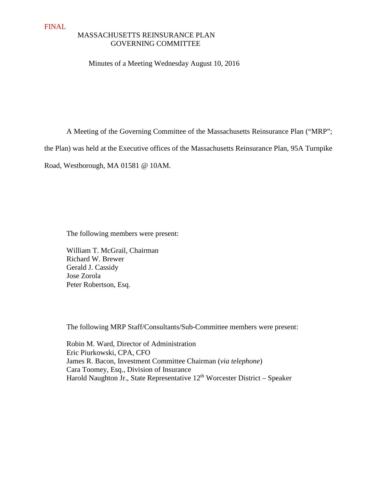# MASSACHUSETTS REINSURANCE PLAN GOVERNING COMMITTEE

#### Minutes of a Meeting Wednesday August 10, 2016

A Meeting of the Governing Committee of the Massachusetts Reinsurance Plan ("MRP";

the Plan) was held at the Executive offices of the Massachusetts Reinsurance Plan, 95A Turnpike

Road, Westborough, MA 01581 @ 10AM.

The following members were present:

William T. McGrail, Chairman Richard W. Brewer Gerald J. Cassidy Jose Zorola Peter Robertson, Esq.

The following MRP Staff/Consultants/Sub-Committee members were present:

 Robin M. Ward, Director of Administration Eric Piurkowski, CPA, CFO James R. Bacon, Investment Committee Chairman (*via telephone*) Cara Toomey, Esq., Division of Insurance Harold Naughton Jr., State Representative 12<sup>th</sup> Worcester District – Speaker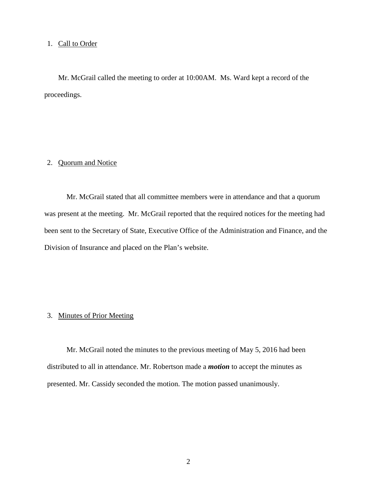## 1. Call to Order

Mr. McGrail called the meeting to order at 10:00AM. Ms. Ward kept a record of the proceedings.

# 2. Quorum and Notice

Mr. McGrail stated that all committee members were in attendance and that a quorum was present at the meeting. Mr. McGrail reported that the required notices for the meeting had been sent to the Secretary of State, Executive Office of the Administration and Finance, and the Division of Insurance and placed on the Plan's website.

# 3. Minutes of Prior Meeting

Mr. McGrail noted the minutes to the previous meeting of May 5, 2016 had been distributed to all in attendance. Mr. Robertson made a *motion* to accept the minutes as presented. Mr. Cassidy seconded the motion. The motion passed unanimously.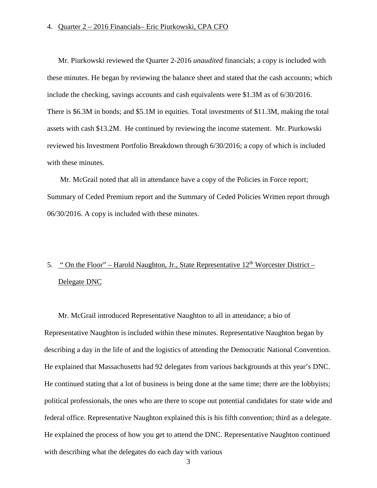#### 4. Quarter 2 – 2016 Financials– Eric Piurkowski, CPA CFO

Mr. Piurkowski reviewed the Quarter 2-2016 *unaudited* financials; a copy is included with these minutes. He began by reviewing the balance sheet and stated that the cash accounts; which include the checking, savings accounts and cash equivalents were \$1.3M as of 6/30/2016. There is \$6.3M in bonds; and \$5.1M in equities. Total investments of \$11.3M, making the total assets with cash \$13.2M. He continued by reviewing the income statement. Mr. Piurkowski reviewed his Investment Portfolio Breakdown through 6/30/2016; a copy of which is included with these minutes.

 Mr. McGrail noted that all in attendance have a copy of the Policies in Force report; Summary of Ceded Premium report and the Summary of Ceded Policies Written report through 06/30/2016. A copy is included with these minutes.

# 5. " On the Floor" – Harold Naughton, Jr., State Representative  $12<sup>th</sup>$  Worcester District – Delegate DNC

Mr. McGrail introduced Representative Naughton to all in attendance; a bio of Representative Naughton is included within these minutes. Representative Naughton began by describing a day in the life of and the logistics of attending the Democratic National Convention. He explained that Massachusetts had 92 delegates from various backgrounds at this year's DNC. He continued stating that a lot of business is being done at the same time; there are the lobbyists; political professionals, the ones who are there to scope out potential candidates for state wide and federal office. Representative Naughton explained this is his fifth convention; third as a delegate. He explained the process of how you get to attend the DNC. Representative Naughton continued with describing what the delegates do each day with various

3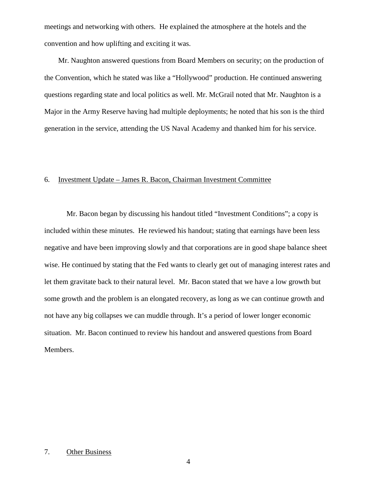meetings and networking with others. He explained the atmosphere at the hotels and the convention and how uplifting and exciting it was.

Mr. Naughton answered questions from Board Members on security; on the production of the Convention, which he stated was like a "Hollywood" production. He continued answering questions regarding state and local politics as well. Mr. McGrail noted that Mr. Naughton is a Major in the Army Reserve having had multiple deployments; he noted that his son is the third generation in the service, attending the US Naval Academy and thanked him for his service.

## 6. Investment Update – James R. Bacon, Chairman Investment Committee

 Mr. Bacon began by discussing his handout titled "Investment Conditions"; a copy is included within these minutes. He reviewed his handout; stating that earnings have been less negative and have been improving slowly and that corporations are in good shape balance sheet wise. He continued by stating that the Fed wants to clearly get out of managing interest rates and let them gravitate back to their natural level. Mr. Bacon stated that we have a low growth but some growth and the problem is an elongated recovery, as long as we can continue growth and not have any big collapses we can muddle through. It's a period of lower longer economic situation. Mr. Bacon continued to review his handout and answered questions from Board Members.

## 7. Other Business

4